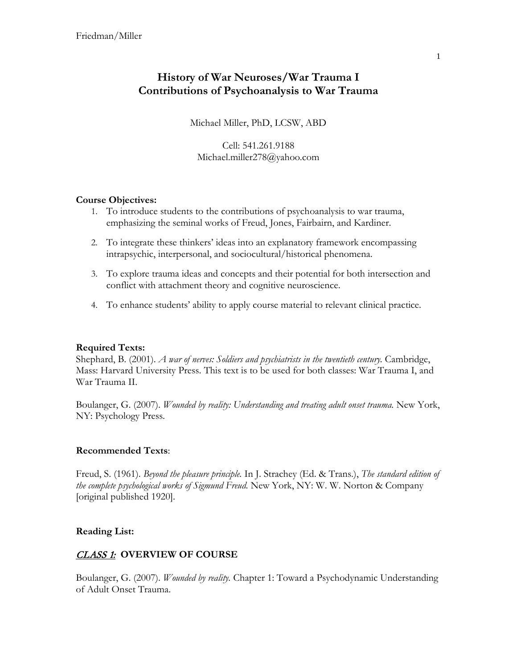# **History of War Neuroses/War Trauma I Contributions of Psychoanalysis to War Trauma**

Michael Miller, PhD, LCSW, ABD

Cell: 541.261.9188 Michael.miller278@yahoo.com

### **Course Objectives:**

- 1. To introduce students to the contributions of psychoanalysis to war trauma, emphasizing the seminal works of Freud, Jones, Fairbairn, and Kardiner.
- 2. To integrate these thinkers' ideas into an explanatory framework encompassing intrapsychic, interpersonal, and sociocultural/historical phenomena.
- 3. To explore trauma ideas and concepts and their potential for both intersection and conflict with attachment theory and cognitive neuroscience.
- 4. To enhance students' ability to apply course material to relevant clinical practice.

### **Required Texts:**

Shephard, B. (2001). *A war of nerves: Soldiers and psychiatrists in the twentieth century.* Cambridge, Mass: Harvard University Press. This text is to be used for both classes: War Trauma I, and War Trauma II.

Boulanger, G. (2007). *Wounded by reality: Understanding and treating adult onset trauma.* New York, NY: Psychology Press.

#### **Recommended Texts**:

Freud, S. (1961). *Beyond the pleasure principle.* In J. Strachey (Ed. & Trans.), *The standard edition of the complete psychological works of Sigmund Freud.* New York, NY: W. W. Norton & Company [original published 1920].

#### **Reading List:**

### CLASS 1: **OVERVIEW OF COURSE**

Boulanger, G. (2007). *Wounded by reality.* Chapter 1: Toward a Psychodynamic Understanding of Adult Onset Trauma.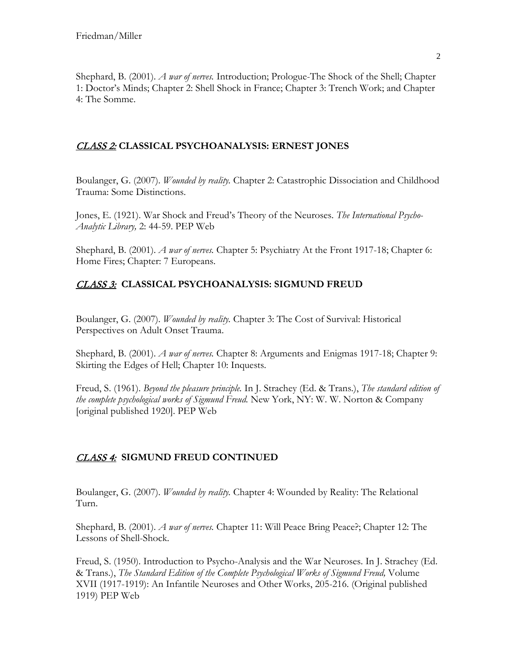Shephard, B. (2001). *A war of nerves.* Introduction; Prologue-The Shock of the Shell; Chapter 1: Doctor's Minds; Chapter 2: Shell Shock in France; Chapter 3: Trench Work; and Chapter 4: The Somme.

### CLASS 2: **CLASSICAL PSYCHOANALYSIS: ERNEST JONES**

Boulanger, G. (2007). *Wounded by reality.* Chapter 2: Catastrophic Dissociation and Childhood Trauma: Some Distinctions.

Jones, E. (1921). War Shock and Freud's Theory of the Neuroses. *The International Psycho-Analytic Library,* 2: 44-59. PEP Web

Shephard, B. (2001). *A war of nerves.* Chapter 5: Psychiatry At the Front 1917-18; Chapter 6: Home Fires; Chapter: 7 Europeans.

### CLASS 3: **CLASSICAL PSYCHOANALYSIS: SIGMUND FREUD**

Boulanger, G. (2007). *Wounded by reality.* Chapter 3: The Cost of Survival: Historical Perspectives on Adult Onset Trauma.

Shephard, B. (2001). *A war of nerves.* Chapter 8: Arguments and Enigmas 1917-18; Chapter 9: Skirting the Edges of Hell; Chapter 10: Inquests.

Freud, S. (1961). *Beyond the pleasure principle.* In J. Strachey (Ed. & Trans.), *The standard edition of the complete psychological works of Sigmund Freud.* New York, NY: W. W. Norton & Company [original published 1920]. PEP Web

## CLASS 4: **SIGMUND FREUD CONTINUED**

Boulanger, G. (2007). *Wounded by reality.* Chapter 4: Wounded by Reality: The Relational Turn.

Shephard, B. (2001). *A war of nerves.* Chapter 11: Will Peace Bring Peace?; Chapter 12: The Lessons of Shell-Shock.

Freud, S. (1950). Introduction to Psycho-Analysis and the War Neuroses. In J. Strachey (Ed. & Trans.), *The Standard Edition of the Complete Psychological Works of Sigmund Freud,* Volume XVII (1917-1919): An Infantile Neuroses and Other Works, 205-216. (Original published 1919) PEP Web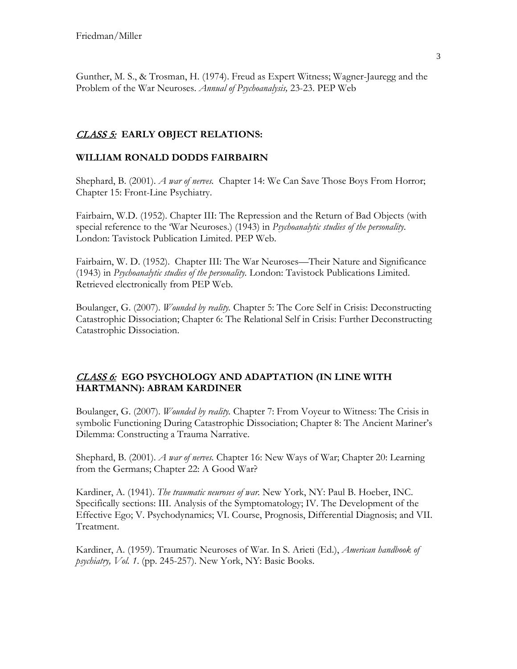Gunther, M. S., & Trosman, H. (1974). Freud as Expert Witness; Wagner-Jauregg and the Problem of the War Neuroses. *Annual of Psychoanalysis,* 23-23. PEP Web

### CLASS 5: **EARLY OBJECT RELATIONS:**

### **WILLIAM RONALD DODDS FAIRBAIRN**

Shephard, B. (2001). *A war of nerves.* Chapter 14: We Can Save Those Boys From Horror; Chapter 15: Front-Line Psychiatry.

Fairbairn, W.D. (1952). Chapter III: The Repression and the Return of Bad Objects (with special reference to the 'War Neuroses.) (1943) in *Psychoanalytic studies of the personality*. London: Tavistock Publication Limited. PEP Web.

Fairbairn, W. D. (1952). Chapter III: The War Neuroses—Their Nature and Significance (1943) in *Psychoanalytic studies of the personality.* London: Tavistock Publications Limited. Retrieved electronically from PEP Web.

Boulanger, G. (2007). *Wounded by reality.* Chapter 5: The Core Self in Crisis: Deconstructing Catastrophic Dissociation; Chapter 6: The Relational Self in Crisis: Further Deconstructing Catastrophic Dissociation.

### CLASS 6: **EGO PSYCHOLOGY AND ADAPTATION (IN LINE WITH HARTMANN): ABRAM KARDINER**

Boulanger, G. (2007). *Wounded by reality.* Chapter 7: From Voyeur to Witness: The Crisis in symbolic Functioning During Catastrophic Dissociation; Chapter 8: The Ancient Mariner's Dilemma: Constructing a Trauma Narrative.

Shephard, B. (2001). *A war of nerves.* Chapter 16: New Ways of War; Chapter 20: Learning from the Germans; Chapter 22: A Good War?

Kardiner, A. (1941). *The traumatic neuroses of war.* New York, NY: Paul B. Hoeber, INC. Specifically sections: III. Analysis of the Symptomatology; IV. The Development of the Effective Ego; V. Psychodynamics; VI. Course, Prognosis, Differential Diagnosis; and VII. Treatment.

Kardiner, A. (1959). Traumatic Neuroses of War. In S. Arieti (Ed.), *American handbook of psychiatry, Vol. 1*. (pp. 245-257). New York, NY: Basic Books.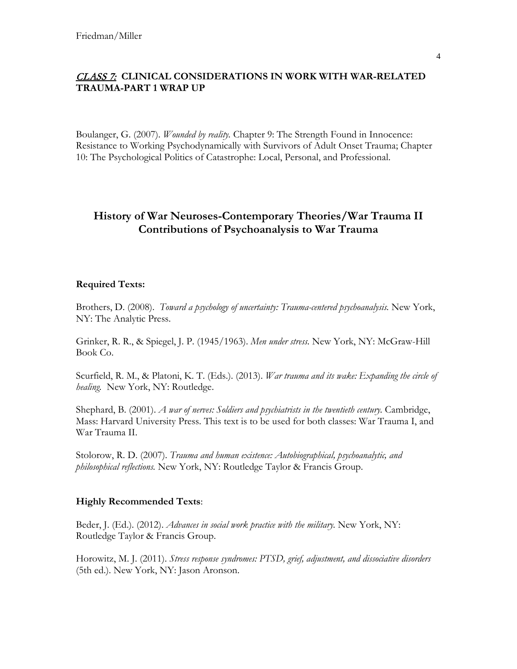### CLASS 7: **CLINICAL CONSIDERATIONS IN WORK WITH WAR-RELATED TRAUMA-PART 1 WRAP UP**

Boulanger, G. (2007). *Wounded by reality.* Chapter 9: The Strength Found in Innocence: Resistance to Working Psychodynamically with Survivors of Adult Onset Trauma; Chapter 10: The Psychological Politics of Catastrophe: Local, Personal, and Professional.

# **History of War Neuroses-Contemporary Theories/War Trauma II Contributions of Psychoanalysis to War Trauma**

#### **Required Texts:**

Brothers, D. (2008). *Toward a psychology of uncertainty: Trauma-centered psychoanalysis.* New York, NY: The Analytic Press.

Grinker, R. R., & Spiegel, J. P. (1945/1963). *Men under stress.* New York, NY: McGraw-Hill Book Co.

Scurfield, R. M., & Platoni, K. T. (Eds.). (2013). *War trauma and its wake: Expanding the circle of healing.* New York, NY: Routledge.

Shephard, B. (2001). *A war of nerves: Soldiers and psychiatrists in the twentieth century.* Cambridge, Mass: Harvard University Press. This text is to be used for both classes: War Trauma I, and War Trauma II.

Stolorow, R. D. (2007). *Trauma and human existence: Autobiographical, psychoanalytic, and philosophical reflections.* New York, NY: Routledge Taylor & Francis Group.

#### **Highly Recommended Texts**:

Beder, J. (Ed.). (2012). *Advances in social work practice with the military.* New York, NY: Routledge Taylor & Francis Group.

Horowitz, M. J. (2011). *Stress response syndromes: PTSD, grief, adjustment, and dissociative disorders*  (5th ed.). New York, NY: Jason Aronson.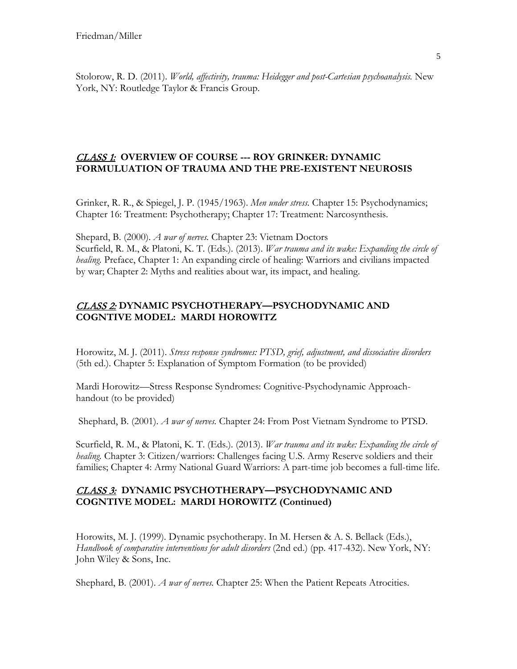Stolorow, R. D. (2011). *World, affectivity, trauma: Heidegger and post-Cartesian psychoanalysis.* New York, NY: Routledge Taylor & Francis Group.

### CLASS 1: **OVERVIEW OF COURSE --- ROY GRINKER: DYNAMIC FORMULUATION OF TRAUMA AND THE PRE-EXISTENT NEUROSIS**

Grinker, R. R., & Spiegel, J. P. (1945/1963). *Men under stress.* Chapter 15: Psychodynamics; Chapter 16: Treatment: Psychotherapy; Chapter 17: Treatment: Narcosynthesis.

Shepard, B. (2000). *A war of nerves.* Chapter 23: Vietnam Doctors Scurfield, R. M., & Platoni, K. T. (Eds.). (2013). *War trauma and its wake: Expanding the circle of healing.* Preface, Chapter 1: An expanding circle of healing: Warriors and civilians impacted by war; Chapter 2: Myths and realities about war, its impact, and healing.

### CLASS 2: **DYNAMIC PSYCHOTHERAPY—PSYCHODYNAMIC AND COGNTIVE MODEL: MARDI HOROWITZ**

Horowitz, M. J. (2011). *Stress response syndromes: PTSD, grief, adjustment, and dissociative disorders*  (5th ed.). Chapter 5: Explanation of Symptom Formation (to be provided)

Mardi Horowitz—Stress Response Syndromes: Cognitive-Psychodynamic Approachhandout (to be provided)

Shephard, B. (2001). *A war of nerves.* Chapter 24: From Post Vietnam Syndrome to PTSD.

Scurfield, R. M., & Platoni, K. T. (Eds.). (2013). *War trauma and its wake: Expanding the circle of healing.* Chapter 3: Citizen/warriors: Challenges facing U.S. Army Reserve soldiers and their families; Chapter 4: Army National Guard Warriors: A part-time job becomes a full-time life.

### CLASS 3: **DYNAMIC PSYCHOTHERAPY—PSYCHODYNAMIC AND COGNTIVE MODEL: MARDI HOROWITZ (Continued)**

Horowits, M. J. (1999). Dynamic psychotherapy. In M. Hersen & A. S. Bellack (Eds.), *Handbook of comparative interventions for adult disorders* (2nd ed.) (pp. 417-432). New York, NY: John Wiley & Sons, Inc.

Shephard, B. (2001). *A war of nerves.* Chapter 25: When the Patient Repeats Atrocities.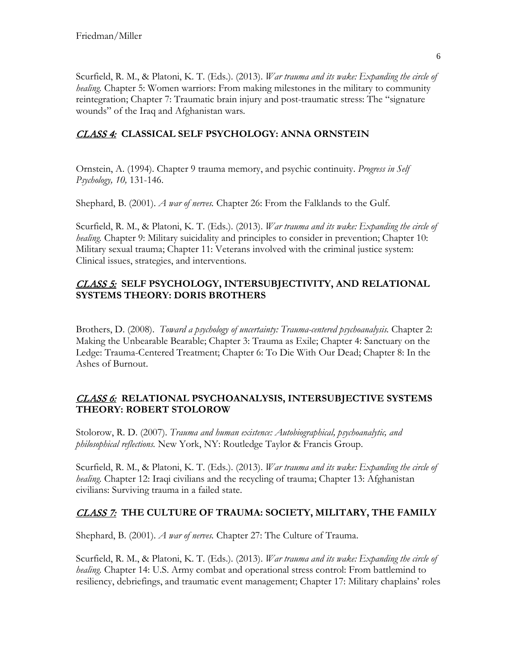Scurfield, R. M., & Platoni, K. T. (Eds.). (2013). *War trauma and its wake: Expanding the circle of healing.* Chapter 5: Women warriors: From making milestones in the military to community reintegration; Chapter 7: Traumatic brain injury and post-traumatic stress: The "signature wounds" of the Iraq and Afghanistan wars.

## CLASS 4: **CLASSICAL SELF PSYCHOLOGY: ANNA ORNSTEIN**

Ornstein, A. (1994). Chapter 9 trauma memory, and psychic continuity. *Progress in Self Psychology, 10,* 131-146.

Shephard, B. (2001). *A war of nerves.* Chapter 26: From the Falklands to the Gulf.

Scurfield, R. M., & Platoni, K. T. (Eds.). (2013). *War trauma and its wake: Expanding the circle of healing.* Chapter 9: Military suicidality and principles to consider in prevention; Chapter 10: Military sexual trauma; Chapter 11: Veterans involved with the criminal justice system: Clinical issues, strategies, and interventions.

### CLASS 5: **SELF PSYCHOLOGY, INTERSUBJECTIVITY, AND RELATIONAL SYSTEMS THEORY: DORIS BROTHERS**

Brothers, D. (2008). *Toward a psychology of uncertainty: Trauma-centered psychoanalysis.* Chapter 2: Making the Unbearable Bearable; Chapter 3: Trauma as Exile; Chapter 4: Sanctuary on the Ledge: Trauma-Centered Treatment; Chapter 6: To Die With Our Dead; Chapter 8: In the Ashes of Burnout.

### CLASS 6: **RELATIONAL PSYCHOANALYSIS, INTERSUBJECTIVE SYSTEMS THEORY: ROBERT STOLOROW**

Stolorow, R. D. (2007). *Trauma and human existence: Autobiographical, psychoanalytic, and philosophical reflections.* New York, NY: Routledge Taylor & Francis Group.

Scurfield, R. M., & Platoni, K. T. (Eds.). (2013). *War trauma and its wake: Expanding the circle of healing.* Chapter 12: Iraqi civilians and the recycling of trauma; Chapter 13: Afghanistan civilians: Surviving trauma in a failed state.

## CLASS 7: **THE CULTURE OF TRAUMA: SOCIETY, MILITARY, THE FAMILY**

Shephard, B. (2001). *A war of nerves.* Chapter 27: The Culture of Trauma.

Scurfield, R. M., & Platoni, K. T. (Eds.). (2013). *War trauma and its wake: Expanding the circle of healing.* Chapter 14: U.S. Army combat and operational stress control: From battlemind to resiliency, debriefings, and traumatic event management; Chapter 17: Military chaplains' roles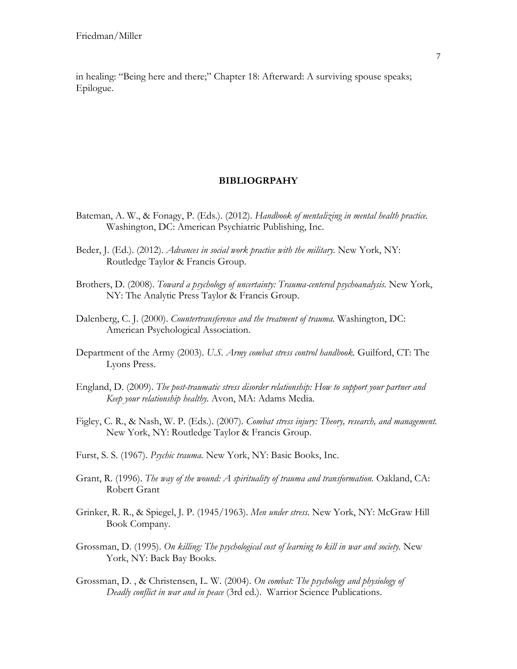in healing: "Being here and there;" Chapter 18: Afterward: A surviving spouse speaks; Epilogue.

#### **BIBLIOGRPAHY**

- Bateman, A. W., & Fonagy, P. (Eds.). (2012). *Handbook of mentalizing in mental health practice.* Washington, DC: American Psychiatric Publishing, Inc.
- Beder, J. (Ed.). (2012). *Advances in social work practice with the military.* New York, NY: Routledge Taylor & Francis Group.
- Brothers, D. (2008). *Toward a psychology of uncertainty: Trauma-centered psychoanalysis.* New York, NY: The Analytic Press Taylor & Francis Group.
- Dalenberg, C. J. (2000). *Countertransference and the treatment of trauma.* Washington, DC: American Psychological Association.
- Department of the Army (2003). *U.S. Army combat stress control handbook.* Guilford, CT: The Lyons Press.
- England, D. (2009). *The post-traumatic stress disorder relationship: How to support your partner and Keep your relationship healthy.* Avon, MA: Adams Media.
- Figley, C. R., & Nash, W. P. (Eds.). (2007). *Combat stress injury: Theory, research, and management.* New York, NY: Routledge Taylor & Francis Group.
- Furst, S. S. (1967). *Psychic trauma.* New York, NY: Basic Books, Inc.
- Grant, R. (1996). *The way of the wound: A spirituality of trauma and transformation*. Oakland, CA: Robert Grant
- Grinker, R. R., & Spiegel, J. P. (1945/1963). *Men under stress.* New York, NY: McGraw Hill Book Company.
- Grossman, D. (1995). *On killing: The psychological cost of learning to kill in war and society.* New York, NY: Back Bay Books.
- Grossman, D. , & Christensen, L. W. (2004). *On combat: The psychology and physiology of Deadly conflict in war and in peace* (3rd ed.). Warrior Science Publications.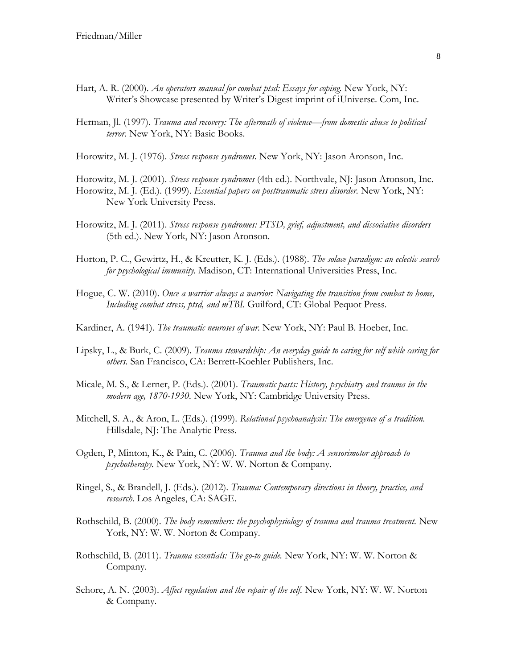- Hart, A. R. (2000). *An operators manual for combat ptsd: Essays for coping*. New York, NY: Writer's Showcase presented by Writer's Digest imprint of iUniverse. Com, Inc.
- Herman, Jl. (1997). *Trauma and recovery: The aftermath of violence—from domestic abuse to political terror.* New York, NY: Basic Books.

Horowitz, M. J. (1976). *Stress response syndromes.* New York, NY: Jason Aronson, Inc.

Horowitz, M. J. (2001). *Stress response syndromes* (4th ed.). Northvale, NJ: Jason Aronson, Inc.

- Horowitz, M. J. (Ed.). (1999). *Essential papers on posttraumatic stress disorder.* New York, NY: New York University Press.
- Horowitz, M. J. (2011). *Stress response syndromes: PTSD, grief, adjustment, and dissociative disorders*  (5th ed.). New York, NY: Jason Aronson.
- Horton, P. C., Gewirtz, H., & Kreutter, K. J. (Eds.). (1988). *The solace paradigm: an eclectic search for psychological immunity.* Madison, CT: International Universities Press, Inc.
- Hogue, C. W. (2010). *Once a warrior always a warrior: Navigating the transition from combat to home, Including combat stress, ptsd, and mTBI.* Guilford, CT: Global Pequot Press.
- Kardiner, A. (1941). *The traumatic neuroses of war.* New York, NY: Paul B. Hoeber, Inc.
- Lipsky, L., & Burk, C. (2009). *Trauma stewardship: An everyday guide to caring for self while caring for others.* San Francisco, CA: Berrett-Koehler Publishers, Inc.
- Micale, M. S., & Lerner, P. (Eds.). (2001). *Traumatic pasts: History, psychiatry and trauma in the modern age, 1870-1930.* New York, NY: Cambridge University Press.
- Mitchell, S. A., & Aron, L. (Eds.). (1999). *Relational psychoanalysis: The emergence of a tradition.*  Hillsdale, NJ: The Analytic Press.
- Ogden, P, Minton, K., & Pain, C. (2006). *Trauma and the body: A sensorimotor approach to psychotherapy.* New York, NY: W. W. Norton & Company.
- Ringel, S., & Brandell, J. (Eds.). (2012). *Trauma: Contemporary directions in theory, practice, and research.* Los Angeles, CA: SAGE.
- Rothschild, B. (2000). *The body remembers: the psychophysiology of trauma and trauma treatment.* New York, NY: W. W. Norton & Company.
- Rothschild, B. (2011). *Trauma essentials: The go-to guide.* New York, NY: W. W. Norton & Company.
- Schore, A. N. (2003). *Affect regulation and the repair of the self.* New York, NY: W. W. Norton & Company.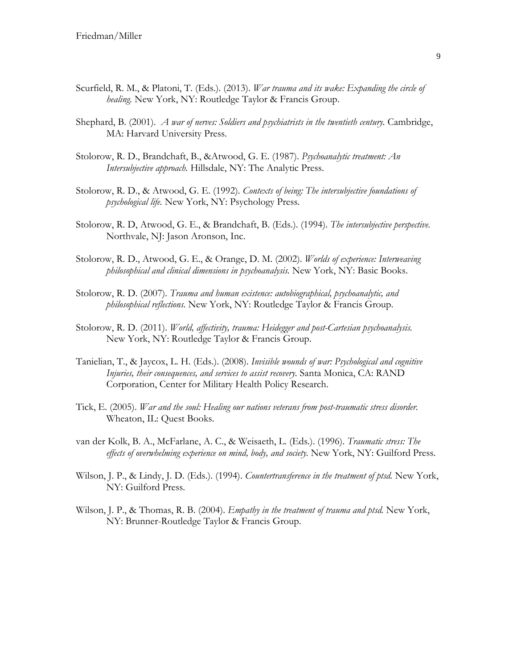- Scurfield, R. M., & Platoni, T. (Eds.). (2013). *War trauma and its wake: Expanding the circle of healing.* New York, NY: Routledge Taylor & Francis Group.
- Shephard, B. (2001). *A war of nerves: Soldiers and psychiatrists in the twentieth century.* Cambridge, MA: Harvard University Press.
- Stolorow, R. D., Brandchaft, B., &Atwood, G. E. (1987). *Psychoanalytic treatment: An Intersubjective approach.* Hillsdale, NY: The Analytic Press.
- Stolorow, R. D., & Atwood, G. E. (1992). *Contexts of being: The intersubjective foundations of psychological life.* New York, NY: Psychology Press.
- Stolorow, R. D, Atwood, G. E., & Brandchaft, B. (Eds.). (1994). *The intersubjective perspective.* Northvale, NJ: Jason Aronson, Inc.
- Stolorow, R. D., Atwood, G. E., & Orange, D. M. (2002). *Worlds of experience: Interweaving philosophical and clinical dimensions in psychoanalysis.* New York, NY: Basic Books.
- Stolorow, R. D. (2007). *Trauma and human existence: autobiographical, psychoanalytic, and philosophical reflections.* New York, NY: Routledge Taylor & Francis Group.
- Stolorow, R. D. (2011). *World, affectivity, trauma: Heidegger and post-Cartesian psychoanalysis.* New York, NY: Routledge Taylor & Francis Group.
- Tanielian, T., & Jaycox, L. H. (Eds.). (2008). *Invisible wounds of war: Psychological and cognitive Injuries, their consequences, and services to assist recovery.* Santa Monica, CA: RAND Corporation, Center for Military Health Policy Research.
- Tick, E. (2005). *War and the soul: Healing our nations veterans from post-traumatic stress disorder.*  Wheaton, IL: Quest Books.
- van der Kolk, B. A., McFarlane, A. C., & Weisaeth, L. (Eds.). (1996). *Traumatic stress: The*  effects of overwhelming experience on mind, body, and society. New York, NY: Guilford Press.
- Wilson, J. P., & Lindy, J. D. (Eds.). (1994). *Countertransference in the treatment of ptsd.* New York, NY: Guilford Press.
- Wilson, J. P., & Thomas, R. B. (2004). *Empathy in the treatment of trauma and ptsd.* New York, NY: Brunner-Routledge Taylor & Francis Group.